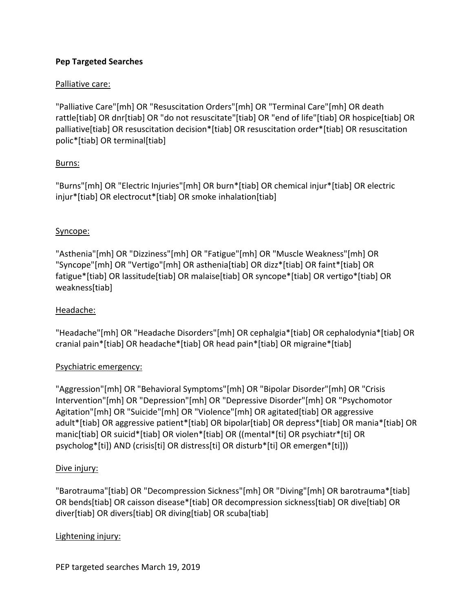#### **Pep Targeted Searches**

#### Palliative care:

"Palliative Care"[mh] OR "Resuscitation Orders"[mh] OR "Terminal Care"[mh] OR death rattle[tiab] OR dnr[tiab] OR "do not resuscitate"[tiab] OR "end of life"[tiab] OR hospice[tiab] OR palliative[tiab] OR resuscitation decision\*[tiab] OR resuscitation order\*[tiab] OR resuscitation polic\*[tiab] OR terminal[tiab]

### Burns:

"Burns"[mh] OR "Electric Injuries"[mh] OR burn\*[tiab] OR chemical injur\*[tiab] OR electric injur\*[tiab] OR electrocut\*[tiab] OR smoke inhalation[tiab]

### Syncope:

"Asthenia"[mh] OR "Dizziness"[mh] OR "Fatigue"[mh] OR "Muscle Weakness"[mh] OR "Syncope"[mh] OR "Vertigo"[mh] OR asthenia[tiab] OR dizz\*[tiab] OR faint\*[tiab] OR fatigue\*[tiab] OR lassitude[tiab] OR malaise[tiab] OR syncope\*[tiab] OR vertigo\*[tiab] OR weakness[tiab]

## Headache:

"Headache"[mh] OR "Headache Disorders"[mh] OR cephalgia\*[tiab] OR cephalodynia\*[tiab] OR cranial pain\*[tiab] OR headache\*[tiab] OR head pain\*[tiab] OR migraine\*[tiab]

#### Psychiatric emergency:

"Aggression"[mh] OR "Behavioral Symptoms"[mh] OR "Bipolar Disorder"[mh] OR "Crisis Intervention"[mh] OR "Depression"[mh] OR "Depressive Disorder"[mh] OR "Psychomotor Agitation"[mh] OR "Suicide"[mh] OR "Violence"[mh] OR agitated[tiab] OR aggressive adult\*[tiab] OR aggressive patient\*[tiab] OR bipolar[tiab] OR depress\*[tiab] OR mania\*[tiab] OR manic[tiab] OR suicid\*[tiab] OR violen\*[tiab] OR ((mental\*[ti] OR psychiatr\*[ti] OR psycholog\*[ti]) AND (crisis[ti] OR distress[ti] OR disturb\*[ti] OR emergen\*[ti]))

#### Dive injury:

"Barotrauma"[tiab] OR "Decompression Sickness"[mh] OR "Diving"[mh] OR barotrauma\*[tiab] OR bends[tiab] OR caisson disease\*[tiab] OR decompression sickness[tiab] OR dive[tiab] OR diver[tiab] OR divers[tiab] OR diving[tiab] OR scuba[tiab]

# Lightening injury:

PEP targeted searches March 19, 2019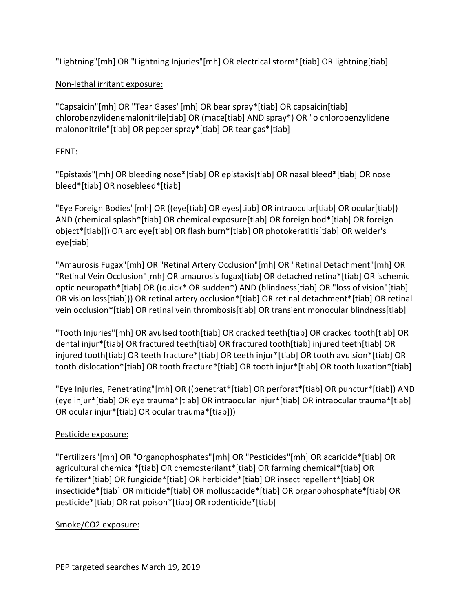"Lightning"[mh] OR "Lightning Injuries"[mh] OR electrical storm\*[tiab] OR lightning[tiab]

## Non-lethal irritant exposure:

"Capsaicin"[mh] OR "Tear Gases"[mh] OR bear spray\*[tiab] OR capsaicin[tiab] chlorobenzylidenemalonitrile[tiab] OR (mace[tiab] AND spray\*) OR "o chlorobenzylidene malononitrile"[tiab] OR pepper spray\*[tiab] OR tear gas\*[tiab]

## EENT:

"Epistaxis"[mh] OR bleeding nose\*[tiab] OR epistaxis[tiab] OR nasal bleed\*[tiab] OR nose bleed\*[tiab] OR nosebleed\*[tiab]

"Eye Foreign Bodies"[mh] OR ((eye[tiab] OR eyes[tiab] OR intraocular[tiab] OR ocular[tiab]) AND (chemical splash\*[tiab] OR chemical exposure[tiab] OR foreign bod\*[tiab] OR foreign object\*[tiab])) OR arc eye[tiab] OR flash burn\*[tiab] OR photokeratitis[tiab] OR welder's eye[tiab]

"Amaurosis Fugax"[mh] OR "Retinal Artery Occlusion"[mh] OR "Retinal Detachment"[mh] OR "Retinal Vein Occlusion"[mh] OR amaurosis fugax[tiab] OR detached retina\*[tiab] OR ischemic optic neuropath\*[tiab] OR ((quick\* OR sudden\*) AND (blindness[tiab] OR "loss of vision"[tiab] OR vision loss[tiab])) OR retinal artery occlusion\*[tiab] OR retinal detachment\*[tiab] OR retinal vein occlusion\*[tiab] OR retinal vein thrombosis[tiab] OR transient monocular blindness[tiab]

"Tooth Injuries"[mh] OR avulsed tooth[tiab] OR cracked teeth[tiab] OR cracked tooth[tiab] OR dental injur\*[tiab] OR fractured teeth[tiab] OR fractured tooth[tiab] injured teeth[tiab] OR injured tooth[tiab] OR teeth fracture\*[tiab] OR teeth injur\*[tiab] OR tooth avulsion\*[tiab] OR tooth dislocation\*[tiab] OR tooth fracture\*[tiab] OR tooth injur\*[tiab] OR tooth luxation\*[tiab]

"Eye Injuries, Penetrating"[mh] OR ((penetrat\*[tiab] OR perforat\*[tiab] OR punctur\*[tiab]) AND (eye injur\*[tiab] OR eye trauma\*[tiab] OR intraocular injur\*[tiab] OR intraocular trauma\*[tiab] OR ocular injur\*[tiab] OR ocular trauma\*[tiab]))

# Pesticide exposure:

"Fertilizers"[mh] OR "Organophosphates"[mh] OR "Pesticides"[mh] OR acaricide\*[tiab] OR agricultural chemical\*[tiab] OR chemosterilant\*[tiab] OR farming chemical\*[tiab] OR fertilizer\*[tiab] OR fungicide\*[tiab] OR herbicide\*[tiab] OR insect repellent\*[tiab] OR insecticide\*[tiab] OR miticide\*[tiab] OR molluscacide\*[tiab] OR organophosphate\*[tiab] OR pesticide\*[tiab] OR rat poison\*[tiab] OR rodenticide\*[tiab]

# Smoke/CO2 exposure: